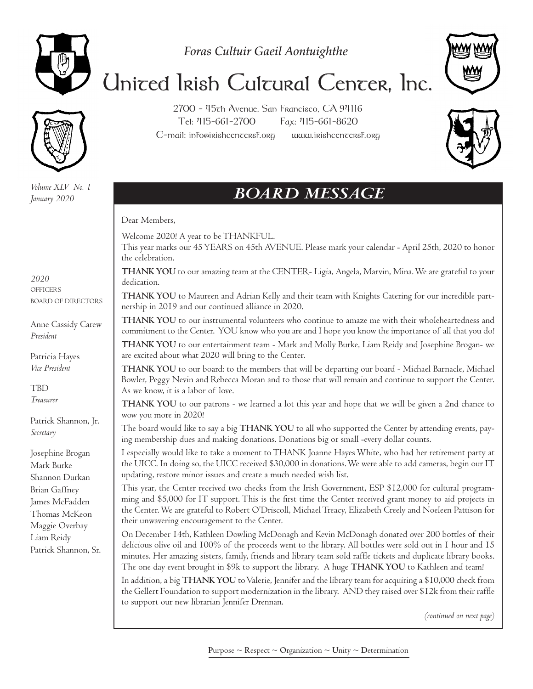

*Foras Cultuir Gaeil Aontuighthe*

# United Irish Cultural Center, Inc.

*Volume XLV No. 1 January 2020*

2700 - 45th Avenue, San Francisco, CA 94116 Tel: 415-661-2700 Fax: 415-661-8620 E-mail: info@irishcentersf.org www.irishcentersf.org



# *BOARD MESSAGE*

Dear Members,

Welcome 2020! A year to be THANKFUL.

This year marks our 45 YEARS on 45th AVENUE. Please mark your calendar - April 25th, 2020 to honor the celebration.

**THANK YOU** to our amazing team at the CENTER- Ligia, Angela, Marvin, Mina. We are grateful to your dedication.

**THANK YOU** to Maureen and Adrian Kelly and their team with Knights Catering for our incredible partnership in 2019 and our continued alliance in 2020.

**THANK YOU** to our instrumental volunteers who continue to amaze me with their wholeheartedness and commitment to the Center. YOU know who you are and I hope you know the importance of all that you do!

**THANK YOU** to our entertainment team - Mark and Molly Burke, Liam Reidy and Josephine Brogan- we are excited about what 2020 will bring to the Center.

**THANK YOU** to our board: to the members that will be departing our board - Michael Barnacle, Michael Bowler, Peggy Nevin and Rebecca Moran and to those that will remain and continue to support the Center. As we know, it is a labor of love.

**THANK YOU** to our patrons - we learned a lot this year and hope that we will be given a 2nd chance to wow you more in 2020!

The board would like to say a big **THANK YOU** to all who supported the Center by attending events, paying membership dues and making donations. Donations big or small -every dollar counts.

I especially would like to take a moment to THANK Joanne Hayes White, who had her retirement party at the UICC. In doing so, the UICC received \$30,000 in donations. We were able to add cameras, begin our IT updating, restore minor issues and create a much needed wish list.

This year, the Center received two checks from the Irish Government, ESP \$12,000 for cultural programming and \$5,000 for IT support. This is the first time the Center received grant money to aid projects in the Center. We are grateful to Robert O'Driscoll, Michael Treacy, Elizabeth Creely and Noeleen Pattison for their unwavering encouragement to the Center.

On December 14th, Kathleen Dowling McDonagh and Kevin McDonagh donated over 200 bottles of their delicious olive oil and 100% of the proceeds went to the library. All bottles were sold out in 1 hour and 15 minutes. Her amazing sisters, family, friends and library team sold raffle tickets and duplicate library books. The one day event brought in \$9k to support the library. A huge **THANK YOU** to Kathleen and team!

In addition, a big **THANK YOU** to Valerie, Jennifer and the library team for acquiring a \$10,000 check from the Gellert Foundation to support modernization in the library. AND they raised over \$12k from their raffle to support our new librarian Jennifer Drennan.

*(continued on next page)*

*2020* **OFFICERS** BOARD OF DIRECTORS

Anne Cassidy Carew *President*

Patricia Hayes *Vice President*

TBD *Treasurer*

Patrick Shannon, Jr. *Secretary*

Josephine Brogan Mark Burke Shannon Durkan Brian Gaffney James McFadden Thomas McKeon Maggie Overbay Liam Reidy Patrick Shannon, Sr.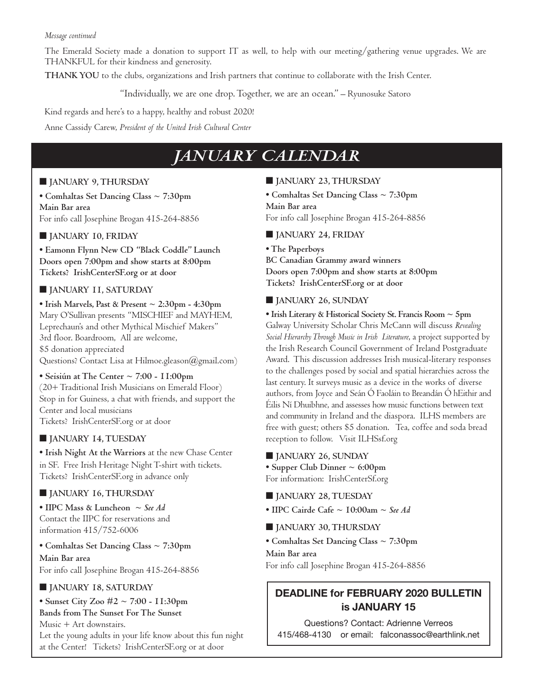#### *Message continued*

The Emerald Society made a donation to support IT as well, to help with our meeting/gathering venue upgrades. We are THANKFUL for their kindness and generosity.

**THANK YOU** to the clubs, organizations and Irish partners that continue to collaborate with the Irish Center.

"Individually, we are one drop. Together, we are an ocean." – Ryunosuke Satoro

Kind regards and here's to a happy, healthy and robust 2020! Anne Cassidy Carew, *President of the United Irish Cultural Center*

## *JANUARY CALENDAR*

#### ■ **JANUARY 9, THURSDAY**

**• Comhaltas Set Dancing Class ~ 7:30pm Main Bar area** For info call Josephine Brogan 415-264-8856

#### ■ **JANUARY 10, FRIDAY**

**• Eamonn Flynn New CD "Black Coddle" Launch Doors open 7:00pm and show starts at 8:00pm Tickets? IrishCenterSF.org or at door**

#### ■ **JANUARY 11, SATURDAY**

**• Irish Marvels, Past & Present ~ 2:30pm - 4:30pm** Mary O'Sullivan presents "MISCHIEF and MAYHEM, Leprechaun's and other Mythical Mischief Makers" 3rd floor. Boardroom, All are welcome, \$5 donation appreciated Questions? Contact Lisa at Hilmoe.gleason@gmail.com)

**• Seisiún at The Center ~ 7:00 - 11:00pm** (20+ Traditional Irish Musicians on Emerald Floor) Stop in for Guiness, a chat with friends, and support the Center and local musicians Tickets? IrishCenterSF.org or at door

#### ■ **JANUARY 14, TUESDAY**

**• Irish Night At the Warriors** at the new Chase Center in SF. Free Irish Heritage Night T-shirt with tickets. Tickets? IrishCenterSF.org in advance only

#### ■ **JANUARY 16, THURSDAY**

**• IIPC Mass & Luncheon ~** *See Ad* Contact the IIPC for reservations and information 415/752-6006

**• Comhaltas Set Dancing Class ~ 7:30pm Main Bar area** For info call Josephine Brogan 415-264-8856

#### ■ **JANUARY 18, SATURDAY**

**• Sunset City Zoo #2 ~ 7:00 - 11:30pm Bands from The Sunset For The Sunset** Music + Art downstairs. Let the young adults in your life know about this fun night at the Center! Tickets? IrishCenterSF.org or at door

#### ■ **JANUARY 23, THURSDAY**

**• Comhaltas Set Dancing Class ~ 7:30pm Main Bar area** For info call Josephine Brogan 415-264-8856

#### ■ **JANUARY 24, FRIDAY**

**• The Paperboys BC Canadian Grammy award winners Doors open 7:00pm and show starts at 8:00pm Tickets? IrishCenterSF.org or at door**

#### ■ **JANUARY 26, SUNDAY**

**• Irish Literary & Historical Society St. Francis Room ~ 5pm** Galway University Scholar Chris McCann will discuss *Revealing Social Hierarchy Through Music in Irish Literature*, a project supported by the Irish Research Council Government of Ireland Postgraduate Award. This discussion addresses Irish musical-literary responses to the challenges posed by social and spatial hierarchies across the last century. It surveys music as a device in the works of diverse authors, from Joyce and Seán Ó Faoláin to Breandán Ó hEithir and Éilis Ní Dhuibhne, and assesses how music functions between text and community in Ireland and the diaspora. ILHS members are free with guest; others \$5 donation. Tea, coffee and soda bread reception to follow. Visit ILHSsf.org

■ **JANUARY 26, SUNDAY**

**• Supper Club Dinner ~ 6:00pm** For information: IrishCenterSf.org

- **JANUARY 28, TUESDAY**
- **IIPC Cairde Cafe ~ 10:00am ~** *See Ad*
- **JANUARY 30, THURSDAY**
- **Comhaltas Set Dancing Class ~ 7:30pm**

**Main Bar area**

For info call Josephine Brogan 415-264-8856

#### **DEADLINE for FEBRUARY 2020 BULLETIN is JANUARY 15**

Questions? Contact: Adrienne Verreos 415/468-4130 or email: falconassoc@earthlink.net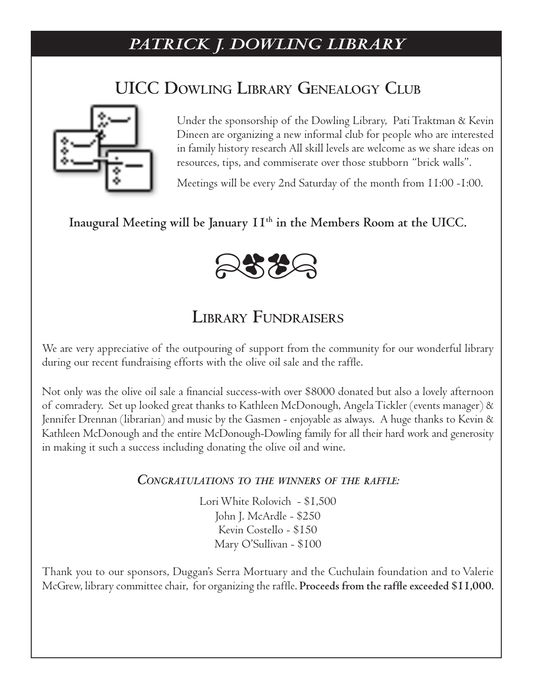# *PATRICK J. DOWLING LIBRARY*

# **UICC Dowling Library Genealogy Club**



Under the sponsorship of the Dowling Library, Pati Traktman & Kevin Dineen are organizing a new informal club for people who are interested in family history research All skill levels are welcome as we share ideas on resources, tips, and commiserate over those stubborn "brick walls".

Meetings will be every 2nd Saturday of the month from 11:00 -1:00.

#### **Inaugural Meeting will be January 11th in the Members Room at the UICC.**



## **Library Fundraisers**

We are very appreciative of the outpouring of support from the community for our wonderful library during our recent fundraising efforts with the olive oil sale and the raffle.

Not only was the olive oil sale a financial success-with over \$8000 donated but also a lovely afternoon of comradery. Set up looked great thanks to Kathleen McDonough, Angela Tickler (events manager) & Jennifer Drennan (librarian) and music by the Gasmen - enjoyable as always. A huge thanks to Kevin & Kathleen McDonough and the entire McDonough-Dowling family for all their hard work and generosity in making it such a success including donating the olive oil and wine.

#### *Congratulations to the winners of the raffle:*

Lori White Rolovich - \$1,500 John J. McArdle - \$250 Kevin Costello - \$150 Mary O'Sullivan - \$100

Thank you to our sponsors, Duggan's Serra Mortuary and the Cuchulain foundation and to Valerie McGrew, library committee chair, for organizing the raffle. **Proceeds from the raffle exceeded \$11,000.**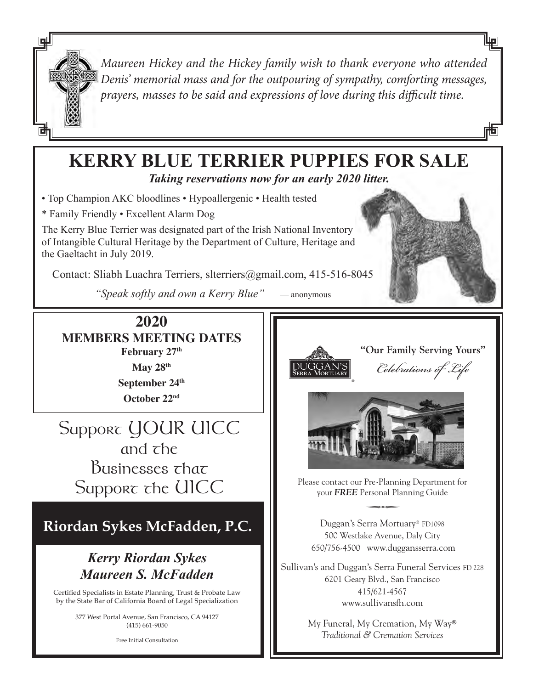

*Maureen Hickey and the Hickey family wish to thank everyone who attended Denis' memorial mass and for the outpouring of sympathy, comforting messages, prayers, masses to be said and expressions of love during this difficult time.*

## **KERRY BLUE TERRIER PUPPIES FOR SALE**  *Taking reservations now for an early 2020 litter.*

• Top Champion AKC bloodlines • Hypoallergenic • Health tested

\* Family Friendly • Excellent Alarm Dog

The Kerry Blue Terrier was designated part of the Irish National Inventory of Intangible Cultural Heritage by the Department of Culture, Heritage and the Gaeltacht in July 2019.

Contact: Sliabh Luachra Terriers, slterriers@gmail.com, 415-516-8045

*"Speak softly and own a Kerry Blue"* — anonymous

 $\overline{a}$ 

**2020 MEMBERS MEETING DATES February 27th May 28th September 24th**

**October 22nd**

Support *UOUR UICC* and the Businesses *that* 

# **Riordan Sykes McFadden, P.C.**

### *Kerry Riordan Sykes Maureen S. McFadden*

Certified Specialists in Estate Planning, Trust & Probate Law by the State Bar of California Board of Legal Specialization

> 377 West Portal Avenue, San Francisco, CA 94127 (415) 661-9050

> > Free Initial Consultation







Support the UICC Please contact our Pre-Planning Department for<br>
your FREE Personal Planning Guide your *FREE* Personal Planning Guide

Duggan's Serra Mortuary® FD1098 500 Westlake Avenue, Daly City 650/756-4500 www.duggansserra.com

Sullivan's and Duggan's Serra Funeral Services FD 228 6201 Geary Blvd., San Francisco 415/621-4567 www.sullivansfh.com

> My Funeral, My Cremation, My Way® *Traditional & Cremation Services*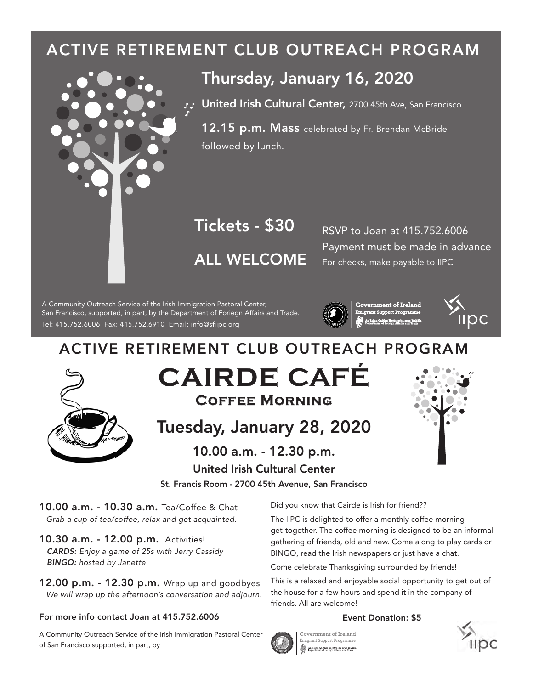# ACTIVE RETIREMENT CLUB OUTREACH PROGRAM



## Thursday, January 16, 2020

**T. United Irish Cultural Center,** 2700 45th Ave, San Francisco

12.15 p.m. Mass celebrated by Fr. Brendan McBride followed by lunch.

# ALL WELCOME **Tickets - \$30** RSVP to Joan at 415.752.6006

Payment must be made in advance For checks, make payable to IIPC

Tel: 415.752.6006 Fax: 415.752.6910 Email: info@sipc.org A Community Outreach Service of the Irish Immigration Pastoral Center, San Francisco, supported, in part, by the Department of Foriegn Affairs and Trade.





# ACTIVE RETIREMENT CLUB OUTREACH PROGRAM



**CAIRDE CAFÉ Coffee Morning**

# Tuesday, January 28, 2020

United Irish Cultural Center 10.00 a.m. - 12.30 p.m.

St. Francis Room - 2700 45th Avenue, San Francisco

10.00 a.m. - 10.30 a.m. Tea/Coffee & Chat *Grab a cup of tea/coffee, relax and get acquainted.*

10.30 a.m. - 12.00 p.m. Activities! *CARDS: Enjoy a game of 25s with Jerry Cassidy BINGO: hosted by Janette*

12.00 p.m. - 12.30 p.m. Wrap up and goodbyes *We will wrap up the afternoon's conversation and adjourn.*

#### For more info contact Joan at 415.752.6006

A Community Outreach Service of the Irish Immigration Pastoral Center of San Francisco supported, in part, by

Did you know that Cairde is Irish for friend??

The IIPC is delighted to offer a monthly coffee morning get-together. The coffee morning is designed to be an informal gathering of friends, old and new. Come along to play cards or BINGO, read the Irish newspapers or just have a chat.

Come celebrate Thanksgiving surrounded by friends!

This is a relaxed and enjoyable social opportunity to get out of the house for a few hours and spend it in the company of friends. All are welcome!

#### Event Donation: \$5



**Government of Ireland Emigrant Support Progra** 

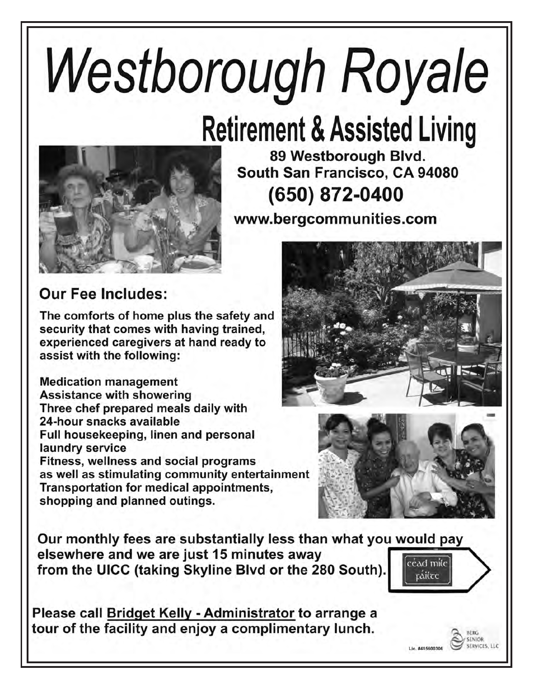# Westborough Royale

# **Retirement & Assisted Living**



89 Westborough Blvd. South San Francisco, CA 94080 (650) 872-0400

www.bergcommunities.com

# **Our Fee Includes:**

The comforts of home plus the safety and security that comes with having trained, experienced caregivers at hand ready to assist with the following:

**Medication management Assistance with showering** Three chef prepared meals daily with 24-hour snacks available Full housekeeping, linen and personal laundry service Fitness, wellness and social programs as well as stimulating community entertainment Transportation for medical appointments, shopping and planned outings.





SENIOR **ERVICES LLC** 

Lic. #415600306

Our monthly fees are substantially less than what you would pay elsewhere and we are just 15 minutes away  $[\mathrm{c\acute{e}ad\ m\acute{d}e}]$ from the UICC (taking Skyline Blvd or the 280 South). ráilte

Please call Bridget Kelly - Administrator to arrange a tour of the facility and enjoy a complimentary lunch.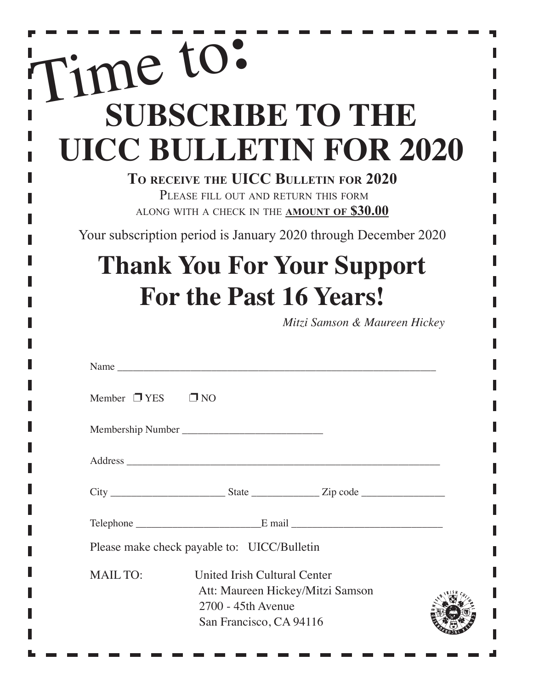# **SUBSCRIBE TO THE UICC BULLETIN FOR 2020**  Time to**:**

#### **To receive the UICC Bulletin for 2020**  PLEASE FILL OUT AND RETURN THIS FORM along with a check in the **amount of \$30.00**

Your subscription period is January 2020 through December 2020

# **Thank You For Your Support For the Past 16 Years!**

Ì

*Mitzi Samson & Maureen Hickey*

| Name                                        |                                                                               |                                  |  |
|---------------------------------------------|-------------------------------------------------------------------------------|----------------------------------|--|
| Member $\Box$ YES $\Box$ NO                 |                                                                               |                                  |  |
|                                             |                                                                               |                                  |  |
|                                             |                                                                               |                                  |  |
|                                             |                                                                               |                                  |  |
|                                             |                                                                               |                                  |  |
| Please make check payable to: UICC/Bulletin |                                                                               |                                  |  |
| <b>MAIL TO:</b>                             | United Irish Cultural Center<br>2700 - 45th Avenue<br>San Francisco, CA 94116 | Att: Maureen Hickey/Mitzi Samson |  |